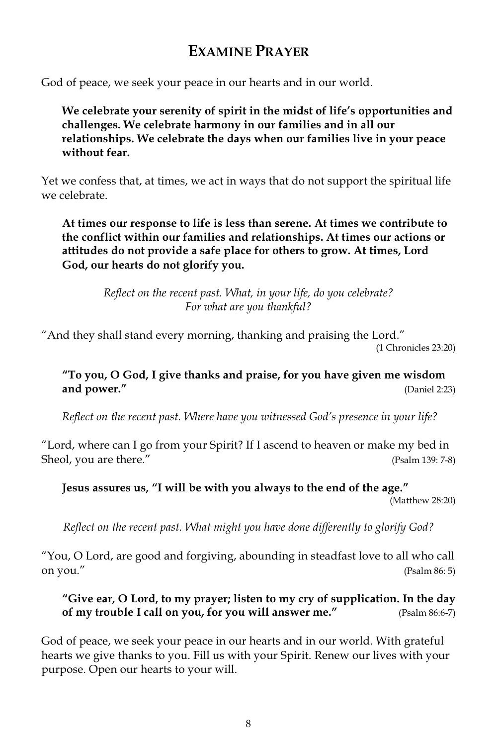# **EXAMINE PRAYER**

God of peace, we seek your peace in our hearts and in our world.

We celebrate your serenity of spirit in the midst of life's opportunities and challenges. We celebrate harmony in our families and in all our relationships. We celebrate the days when our families live in your peace without fear.

Yet we confess that, at times, we act in ways that do not support the spiritual life we celebrate

At times our response to life is less than serene. At times we contribute to the conflict within our families and relationships. At times our actions or attitudes do not provide a safe place for others to grow. At times, Lord God, our hearts do not glorify you.

> Reflect on the recent past. What, in your life, do you celebrate? For what are you thankful?

"And they shall stand every morning, thanking and praising the Lord." (1 Chronicles 23:20)

"To you, O God, I give thanks and praise, for you have given me wisdom and power." (Daniel 2:23)

Reflect on the recent past. Where have you witnessed God's presence in your life?

"Lord, where can I go from your Spirit? If I ascend to heaven or make my bed in Sheol, you are there." (Psalm 139: 7-8)

Jesus assures us, "I will be with you always to the end of the age." (Matthew 28:20)

Reflect on the recent past. What might you have done differently to glorify God?

"You, O Lord, are good and forgiving, abounding in steadfast love to all who call on you." (Psalm 86: 5)

"Give ear, O Lord, to my prayer; listen to my cry of supplication. In the day of my trouble I call on you, for you will answer me." (Psalm 86:6-7)

God of peace, we seek your peace in our hearts and in our world. With grateful hearts we give thanks to you. Fill us with your Spirit. Renew our lives with your purpose. Open our hearts to your will.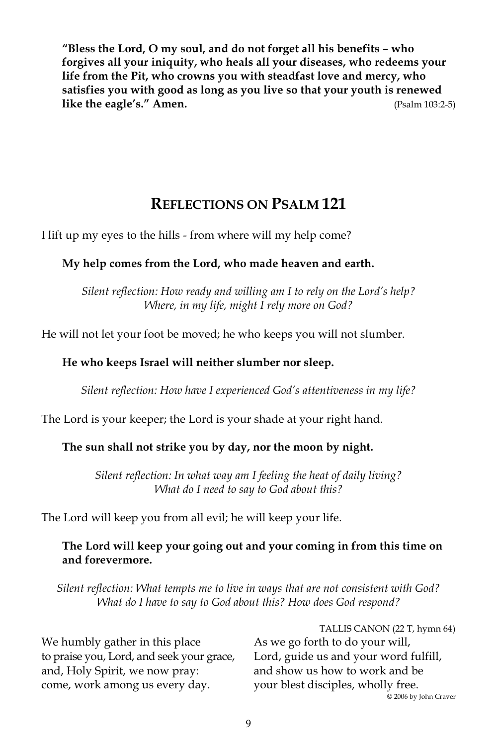"Bless the Lord, O my soul, and do not forget all his benefits - who forgives all your iniquity, who heals all your diseases, who redeems your life from the Pit, who crowns you with steadfast love and mercy, who satisfies you with good as long as you live so that your youth is renewed like the eagle's." Amen. (Psalm 103:2-5)

## **REFLECTIONS ON PSALM 121**

I lift up my eyes to the hills - from where will my help come?

## My help comes from the Lord, who made heaven and earth.

Silent reflection: How ready and willing am I to rely on the Lord's help? Where, in my life, might I rely more on God?

He will not let your foot be moved; he who keeps you will not slumber.

#### He who keeps Israel will neither slumber nor sleep.

Silent reflection: How have I experienced God's attentiveness in my life?

The Lord is your keeper; the Lord is your shade at your right hand.

## The sun shall not strike you by day, nor the moon by night.

Silent reflection: In what way am I feeling the heat of daily living? What do I need to say to God about this?

The Lord will keep you from all evil; he will keep your life.

#### The Lord will keep your going out and your coming in from this time on and forevermore.

Silent reflection: What tempts me to live in ways that are not consistent with God? What do I have to say to God about this? How does God respond?

|                                           | TALLIS CANON (22 T, hymn 64)          |
|-------------------------------------------|---------------------------------------|
| We humbly gather in this place            | As we go forth to do your will,       |
| to praise you, Lord, and seek your grace, | Lord, guide us and your word fulfill, |
| and, Holy Spirit, we now pray:            | and show us how to work and be        |
| come, work among us every day.            | your blest disciples, wholly free.    |
|                                           | © 2006 by John Craver                 |